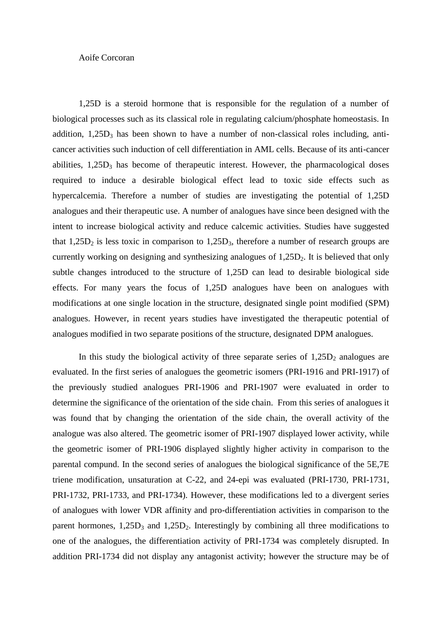## Aoife Corcoran

1,25D is a steroid hormone that is responsible for the regulation of a number of biological processes such as its classical role in regulating calcium/phosphate homeostasis. In addition,  $1,25D_3$  has been shown to have a number of non-classical roles including, anticancer activities such induction of cell differentiation in AML cells. Because of its anti-cancer abilities,  $1,25D_3$  has become of therapeutic interest. However, the pharmacological doses required to induce a desirable biological effect lead to toxic side effects such as hypercalcemia. Therefore a number of studies are investigating the potential of 1,25D analogues and their therapeutic use. A number of analogues have since been designed with the intent to increase biological activity and reduce calcemic activities. Studies have suggested that  $1,25D_2$  is less toxic in comparison to  $1,25D_3$ , therefore a number of research groups are currently working on designing and synthesizing analogues of  $1,25D<sub>2</sub>$ . It is believed that only subtle changes introduced to the structure of 1,25D can lead to desirable biological side effects. For many years the focus of 1,25D analogues have been on analogues with modifications at one single location in the structure, designated single point modified (SPM) analogues. However, in recent years studies have investigated the therapeutic potential of analogues modified in two separate positions of the structure, designated DPM analogues.

In this study the biological activity of three separate series of  $1,25D_2$  analogues are evaluated. In the first series of analogues the geometric isomers (PRI-1916 and PRI-1917) of the previously studied analogues PRI-1906 and PRI-1907 were evaluated in order to determine the significance of the orientation of the side chain. From this series of analogues it was found that by changing the orientation of the side chain, the overall activity of the analogue was also altered. The geometric isomer of PRI-1907 displayed lower activity, while the geometric isomer of PRI-1906 displayed slightly higher activity in comparison to the parental compund. In the second series of analogues the biological significance of the 5E,7E triene modification, unsaturation at C-22, and 24-epi was evaluated (PRI-1730, PRI-1731, PRI-1732, PRI-1733, and PRI-1734). However, these modifications led to a divergent series of analogues with lower VDR affinity and pro-differentiation activities in comparison to the parent hormones,  $1,25D_3$  and  $1,25D_2$ . Interestingly by combining all three modifications to one of the analogues, the differentiation activity of PRI-1734 was completely disrupted. In addition PRI-1734 did not display any antagonist activity; however the structure may be of